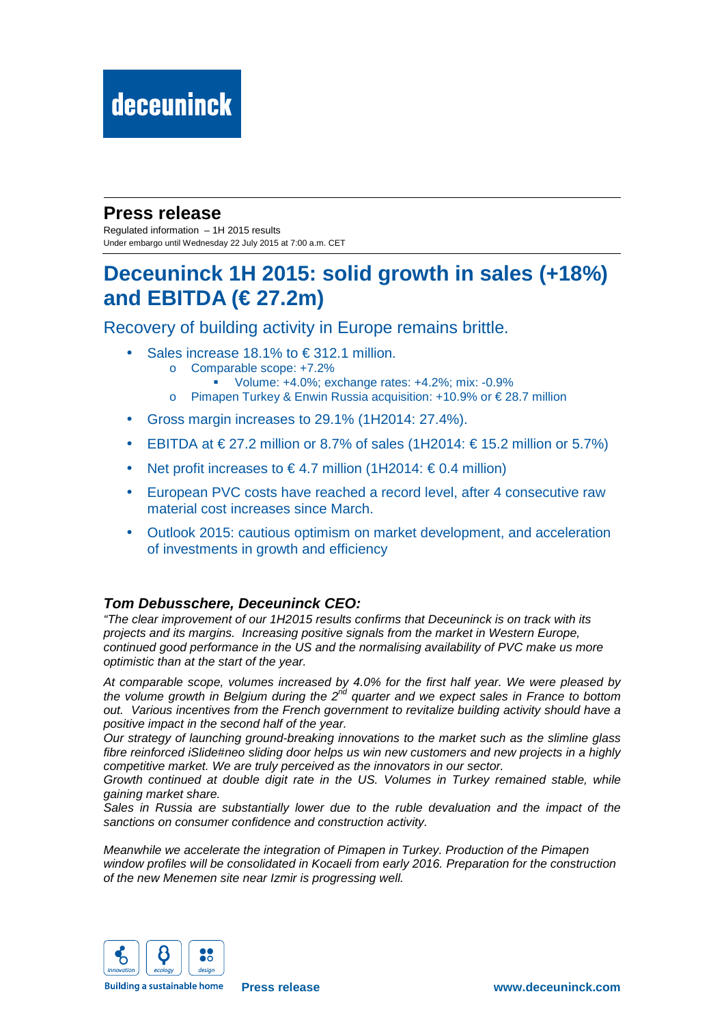### **Press release**

Regulated information – 1H 2015 results Under embargo until Wednesday 22 July 2015 at 7:00 a.m. CET

## **Deceuninck 1H 2015: solid growth in sales (+18%) and EBITDA (€ 27.2m)**

Recovery of building activity in Europe remains brittle.

- Sales increase 18.1% to  $\in$  312.1 million.
	- o Comparable scope: +7.2%
		- Volume: +4.0%; exchange rates: +4.2%; mix: -0.9%
	- o Pimapen Turkey & Enwin Russia acquisition: +10.9% or € 28.7 million
- Gross margin increases to 29.1% (1H2014: 27.4%).
- EBITDA at  $\in$  27.2 million or 8.7% of sales (1H2014:  $\in$  15.2 million or 5.7%)
- Net profit increases to  $\in$  4.7 million (1H2014:  $\in$  04 million)
- European PVC costs have reached a record level, after 4 consecutive raw material cost increases since March.
- Outlook 2015: cautious optimism on market development, and acceleration of investments in growth and efficiency

### **Tom Debusschere, Deceuninck CEO:**

"The clear improvement of our 1H2015 results confirms that Deceuninck is on track with its projects and its margins. Increasing positive signals from the market in Western Europe, continued good performance in the US and the normalising availability of PVC make us more optimistic than at the start of the year.

At comparable scope, volumes increased by 4.0% for the first half year. We were pleased by the volume growth in Belgium during the  $2^{nd}$  quarter and we expect sales in France to bottom out. Various incentives from the French government to revitalize building activity should have a positive impact in the second half of the year.

Our strategy of launching ground-breaking innovations to the market such as the slimline glass fibre reinforced iSlide#neo sliding door helps us win new customers and new projects in a highly competitive market. We are truly perceived as the innovators in our sector.

Growth continued at double digit rate in the US. Volumes in Turkey remained stable, while gaining market share.

Sales in Russia are substantially lower due to the ruble devaluation and the impact of the sanctions on consumer confidence and construction activity.

Meanwhile we accelerate the integration of Pimapen in Turkey. Production of the Pimapen window profiles will be consolidated in Kocaeli from early 2016. Preparation for the construction of the new Menemen site near Izmir is progressing well.



**Building a sustainable home**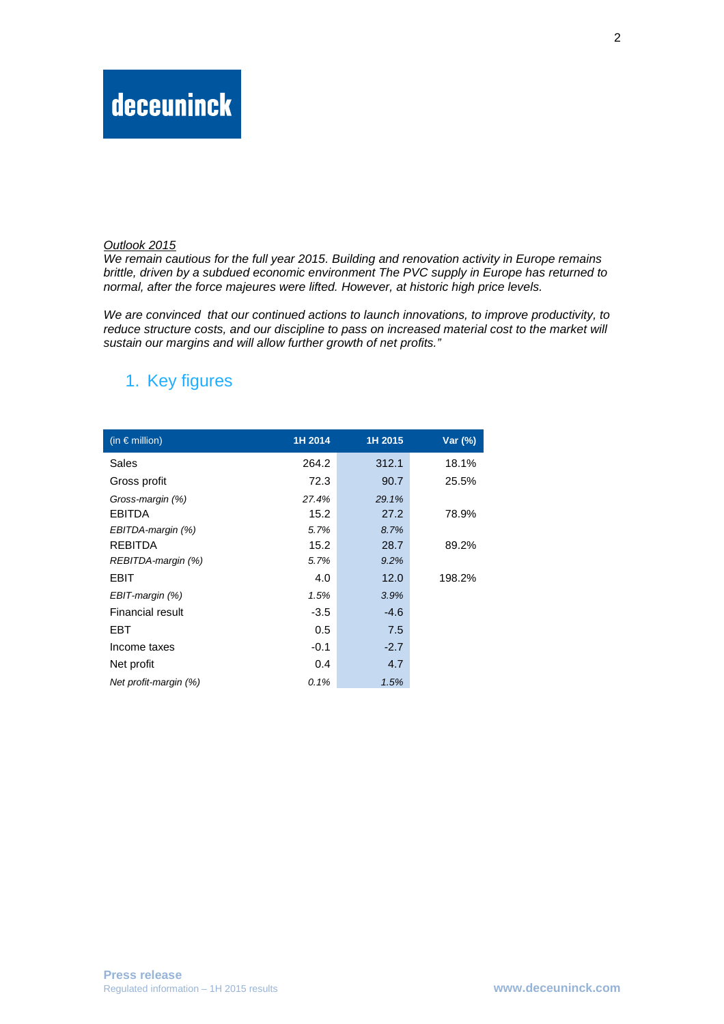#### Outlook 2015

We remain cautious for the full year 2015. Building and renovation activity in Europe remains brittle, driven by a subdued economic environment The PVC supply in Europe has returned to normal, after the force majeures were lifted. However, at historic high price levels.

We are convinced that our continued actions to launch innovations, to improve productivity, to reduce structure costs, and our discipline to pass on increased material cost to the market will sustain our margins and will allow further growth of net profits."

### 1. Key figures

| (in $\epsilon$ million) | 1H 2014 | 1H 2015 | Var (%) |
|-------------------------|---------|---------|---------|
| Sales                   | 264.2   | 312.1   | 18.1%   |
| Gross profit            | 72.3    | 90.7    | 25.5%   |
| Gross-margin (%)        | 27.4%   | 29.1%   |         |
| <b>EBITDA</b>           | 15.2    | 27.2    | 78.9%   |
| EBITDA-margin (%)       | 5.7%    | 8.7%    |         |
| REBITDA                 | 15.2    | 28.7    | 89.2%   |
| REBITDA-margin (%)      | 5.7%    | 9.2%    |         |
| <b>EBIT</b>             | 4.0     | 12.0    | 198.2%  |
| EBIT-margin (%)         | 1.5%    | 3.9%    |         |
| Financial result        | $-3.5$  | $-4.6$  |         |
| EBT                     | 0.5     | 7.5     |         |
| Income taxes            | $-0.1$  | $-2.7$  |         |
| Net profit              | 0.4     | 4.7     |         |
| Net profit-margin (%)   | 0.1%    | 1.5%    |         |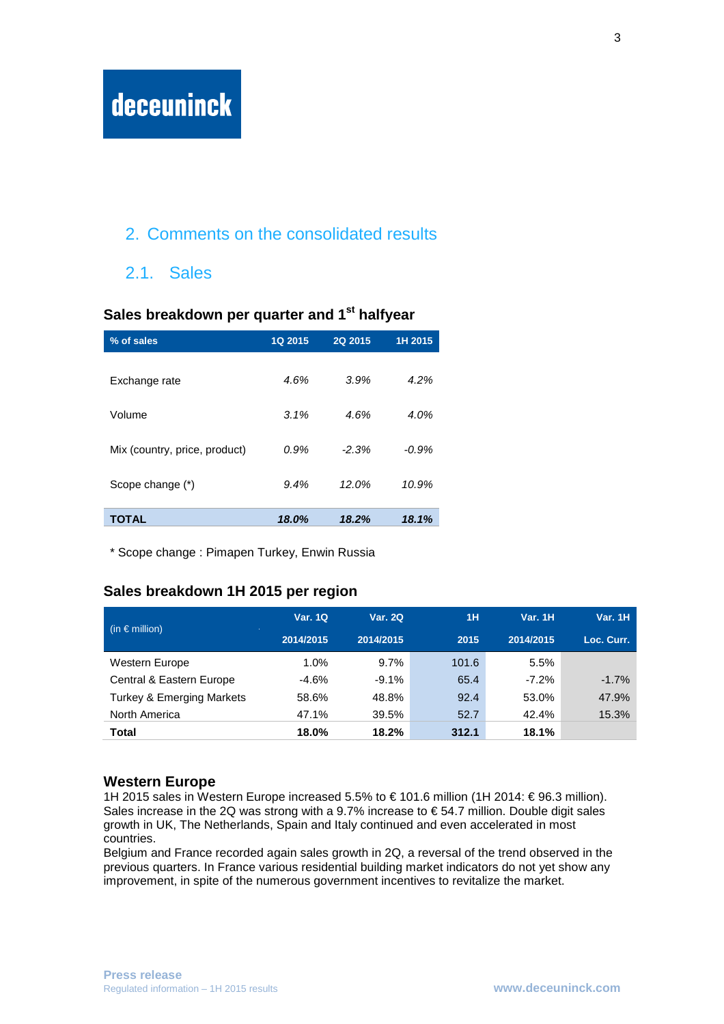## 2. Comments on the consolidated results

### 2.1. Sales

# **Sales breakdown per quarter and 1st halfyear % of sales 1Q 2015 2Q 2015 1H 2015**  Exchange rate  $4.6\%$   $3.9\%$   $4.2\%$ Volume 3.1% 4.6% 4.0% Mix (country, price, product)  $0.9\%$  -2.3% -0.9% Scope change (\*) 8.4% 12.0% 10.9% **TOTAL 18.0% 18.2% 18.1%**

\* Scope change : Pimapen Turkey, Enwin Russia

#### **Sales breakdown 1H 2015 per region**

|                                      | <b>Var. 1Q</b> | <b>Var. 2Q</b> | <b>1H</b> | <b>Var. 1H</b> | <b>Var. 1H</b> |
|--------------------------------------|----------------|----------------|-----------|----------------|----------------|
| (in $\epsilon$ million)              | 2014/2015      | 2014/2015      | 2015      | 2014/2015      | Loc. Curr.     |
| <b>Western Europe</b>                | 1.0%           | 9.7%           | 101.6     | 5.5%           |                |
| Central & Eastern Europe             | $-4.6%$        | $-9.1%$        | 65.4      | $-7.2\%$       | $-1.7%$        |
| <b>Turkey &amp; Emerging Markets</b> | 58.6%          | 48.8%          | 92.4      | 53.0%          | 47.9%          |
| North America                        | 47.1%          | 39.5%          | 52.7      | 42.4%          | 15.3%          |
| Total                                | 18.0%          | 18.2%          | 312.1     | 18.1%          |                |

#### **Western Europe**

1H 2015 sales in Western Europe increased 5.5% to € 101.6 million (1H 2014: € 96.3 million). Sales increase in the 2Q was strong with a 9.7% increase to  $\epsilon$  54.7 million. Double digit sales growth in UK, The Netherlands, Spain and Italy continued and even accelerated in most countries.

Belgium and France recorded again sales growth in 2Q, a reversal of the trend observed in the previous quarters. In France various residential building market indicators do not yet show any improvement, in spite of the numerous government incentives to revitalize the market.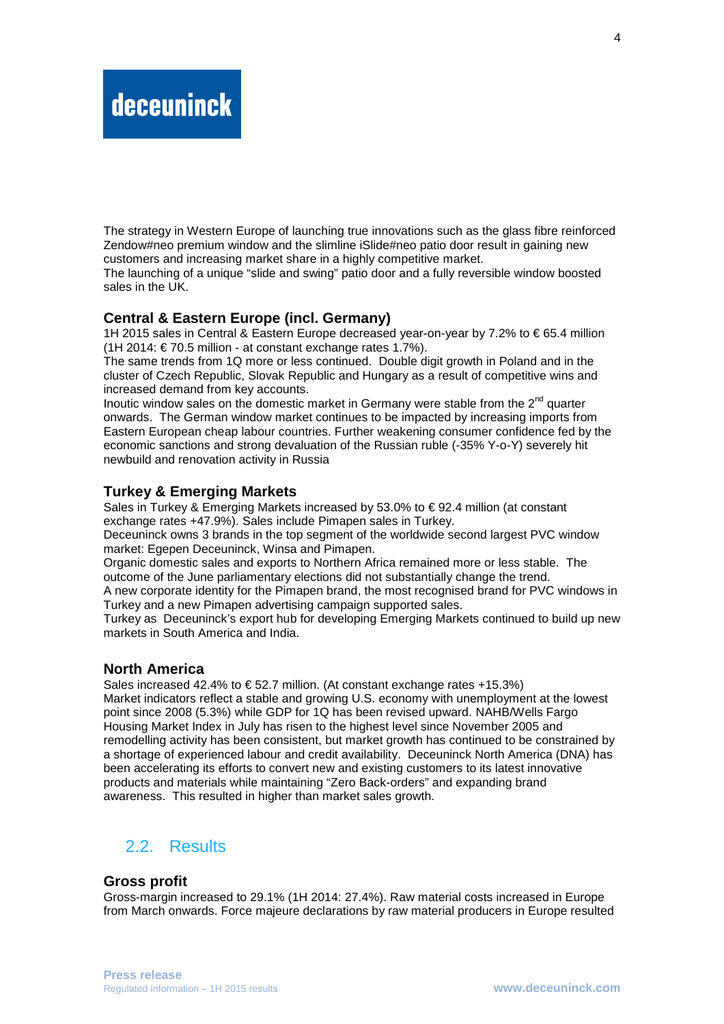The strategy in Western Europe of launching true innovations such as the glass fibre reinforced Zendow#neo premium window and the slimline iSlide#neo patio door result in gaining new customers and increasing market share in a highly competitive market.

The launching of a unique "slide and swing" patio door and a fully reversible window boosted sales in the UK.

#### **Central & Eastern Europe (incl. Germany)**

1H 2015 sales in Central & Eastern Europe decreased year-on-year by 7.2% to € 65.4 million (1H 2014: € 70.5 million - at constant exchange rates 1.7%).

The same trends from 1Q more or less continued. Double digit growth in Poland and in the cluster of Czech Republic, Slovak Republic and Hungary as a result of competitive wins and increased demand from key accounts.

Inoutic window sales on the domestic market in Germany were stable from the  $2<sup>nd</sup>$  quarter onwards. The German window market continues to be impacted by increasing imports from Eastern European cheap labour countries. Further weakening consumer confidence fed by the economic sanctions and strong devaluation of the Russian ruble (-35% Y-o-Y) severely hit newbuild and renovation activity in Russia

#### **Turkey & Emerging Markets**

Sales in Turkey & Emerging Markets increased by 53.0% to  $\epsilon$  92.4 million (at constant exchange rates +47.9%). Sales include Pimapen sales in Turkey.

Deceuninck owns 3 brands in the top segment of the worldwide second largest PVC window market: Egepen Deceuninck, Winsa and Pimapen.

Organic domestic sales and exports to Northern Africa remained more or less stable. The outcome of the June parliamentary elections did not substantially change the trend.

A new corporate identity for the Pimapen brand, the most recognised brand for PVC windows in Turkey and a new Pimapen advertising campaign supported sales.

Turkey as Deceuninck's export hub for developing Emerging Markets continued to build up new markets in South America and India.

#### **North America**

Sales increased 42.4% to  $\epsilon$  52.7 million. (At constant exchange rates +15.3%) Market indicators reflect a stable and growing U.S. economy with unemployment at the lowest point since 2008 (5.3%) while GDP for 1Q has been revised upward. NAHB/Wells Fargo Housing Market Index in July has risen to the highest level since November 2005 and remodelling activity has been consistent, but market growth has continued to be constrained by a shortage of experienced labour and credit availability. Deceuninck North America (DNA) has been accelerating its efforts to convert new and existing customers to its latest innovative products and materials while maintaining "Zero Back-orders" and expanding brand awareness. This resulted in higher than market sales growth.

### 2.2. Results

#### **Gross profit**

Gross-margin increased to 29.1% (1H 2014: 27.4%). Raw material costs increased in Europe from March onwards. Force majeure declarations by raw material producers in Europe resulted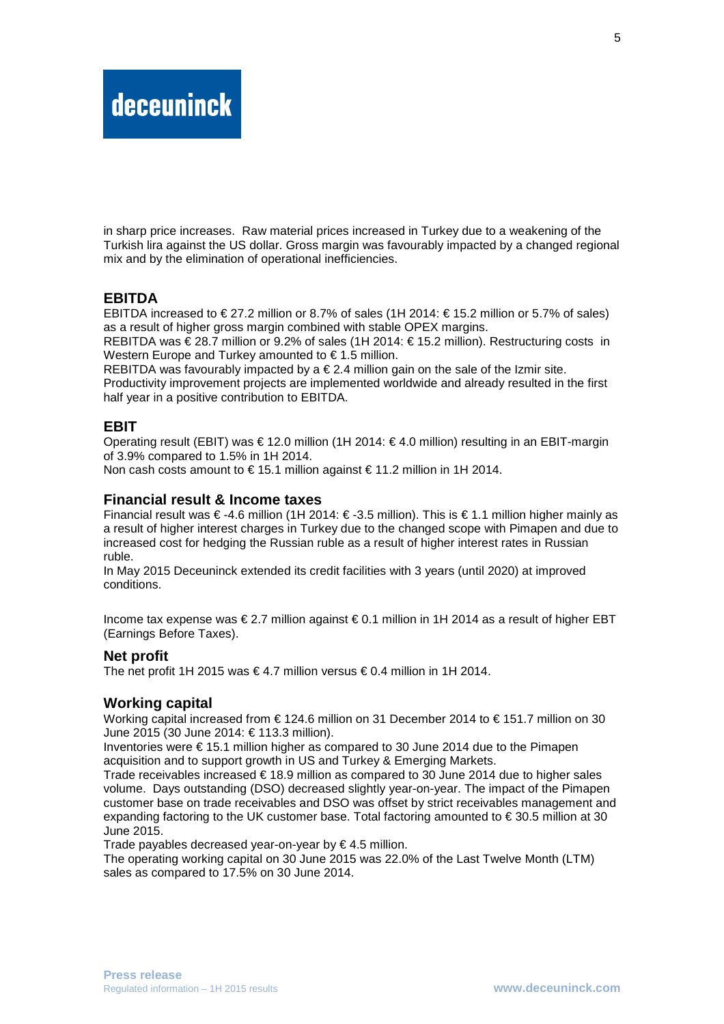in sharp price increases. Raw material prices increased in Turkey due to a weakening of the Turkish lira against the US dollar. Gross margin was favourably impacted by a changed regional mix and by the elimination of operational inefficiencies.

#### **EBITDA**

EBITDA increased to  $\in$  27.2 million or 8.7% of sales (1H 2014:  $\in$  15.2 million or 5.7% of sales) as a result of higher gross margin combined with stable OPEX margins.

REBITDA was  $\epsilon$  28.7 million or 9.2% of sales (1H 2014:  $\epsilon$  15.2 million). Restructuring costs in Western Europe and Turkey amounted to € 1.5 million.

REBITDA was favourably impacted by a  $\epsilon$  2.4 million gain on the sale of the Izmir site. Productivity improvement projects are implemented worldwide and already resulted in the first half year in a positive contribution to EBITDA.

#### **EBIT**

Operating result (EBIT) was € 12.0 million (1H 2014: € 4.0 million) resulting in an EBIT-margin of 3.9% compared to 1.5% in 1H 2014.

Non cash costs amount to  $\in$  15.1 million against  $\in$  11.2 million in 1H 2014.

#### **Financial result & Income taxes**

Financial result was € -4.6 million (1H 2014: € -35 million). This is € 1.1 million higher mainly as a result of higher interest charges in Turkey due to the changed scope with Pimapen and due to increased cost for hedging the Russian ruble as a result of higher interest rates in Russian ruble.

In May 2015 Deceuninck extended its credit facilities with 3 years (until 2020) at improved conditions.

Income tax expense was € 2.7 million against € 0.1 million in 1H 2014 as a result of higher EBT (Earnings Before Taxes).

#### **Net profit**

The net profit 1H 2015 was  $\in$  4.7 million versus  $\in$  04 million in 1H 2014.

#### **Working capital**

Working capital increased from € 124.6 million on 31 December 2014 to € 151.7 million on 30 June 2015 (30 June 2014: € 113.3 million).

Inventories were  $\epsilon$  15.1 million higher as compared to 30 June 2014 due to the Pimapen acquisition and to support growth in US and Turkey & Emerging Markets.

Trade receivables increased € 18.9 million as compared to 30 June 2014 due to higher sales volume. Days outstanding (DSO) decreased slightly year-on-year. The impact of the Pimapen customer base on trade receivables and DSO was offset by strict receivables management and expanding factoring to the UK customer base. Total factoring amounted to  $\epsilon$  30.5 million at 30 June 2015.

Trade payables decreased year-on-year by  $\epsilon$  4.5 million.

The operating working capital on 30 June 2015 was 22.0% of the Last Twelve Month (LTM) sales as compared to 17.5% on 30 June 2014.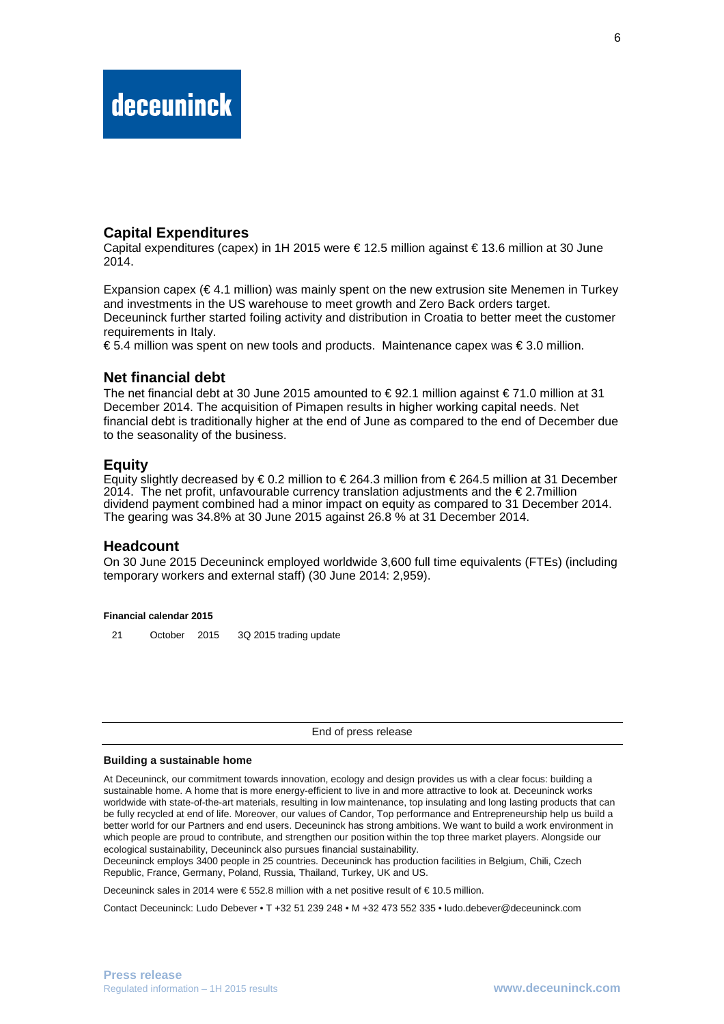#### **Capital Expenditures**

Capital expenditures (capex) in 1H 2015 were € 12.5 million against € 13.6 million at 30 June 2014.

Expansion capex ( $\in$  4.1 million) was mainly spent on the new extrusion site Menemen in Turkey and investments in the US warehouse to meet growth and Zero Back orders target. Deceuninck further started foiling activity and distribution in Croatia to better meet the customer requirements in Italy.

€ 5.4 million was spent on new tools and products. Maintenance capex was  $∈$  3.0 million.

#### **Net financial debt**

The net financial debt at 30 June 2015 amounted to  $\in$  92.1 million against  $\in$  71.0 million at 31 December 2014. The acquisition of Pimapen results in higher working capital needs. Net financial debt is traditionally higher at the end of June as compared to the end of December due to the seasonality of the business.

#### **Equity**

Equity slightly decreased by  $\epsilon$  0.2 million to  $\epsilon$  2643 million from  $\epsilon$  264.5 million at 31 December 2014. The net profit, unfavourable currency translation adjustments and the  $\epsilon$  2.7million dividend payment combined had a minor impact on equity as compared to 31 December 2014. The gearing was 34.8% at 30 June 2015 against 26.8 % at 31 December 2014.

#### **Headcount**

On 30 June 2015 Deceuninck employed worldwide 3,600 full time equivalents (FTEs) (including temporary workers and external staff) (30 June 2014: 2,959).

#### **Financial calendar 2015**

21 October 2015 3Q 2015 trading update

End of press release

#### **Building a sustainable home**

At Deceuninck, our commitment towards innovation, ecology and design provides us with a clear focus: building a sustainable home. A home that is more energy-efficient to live in and more attractive to look at. Deceuninck works worldwide with state-of-the-art materials, resulting in low maintenance, top insulating and long lasting products that can be fully recycled at end of life. Moreover, our values of Candor, Top performance and Entrepreneurship help us build a better world for our Partners and end users. Deceuninck has strong ambitions. We want to build a work environment in which people are proud to contribute, and strengthen our position within the top three market players. Alongside our ecological sustainability, Deceuninck also pursues financial sustainability.

Deceuninck employs 3400 people in 25 countries. Deceuninck has production facilities in Belgium, Chili, Czech Republic, France, Germany, Poland, Russia, Thailand, Turkey, UK and US.

Deceuninck sales in 2014 were € 552.8 million with a net positive result of € 10.5 million.

Contact Deceuninck: Ludo Debever • T +32 51 239 248 • M +32 473 552 335 • ludo.debever@deceuninck.com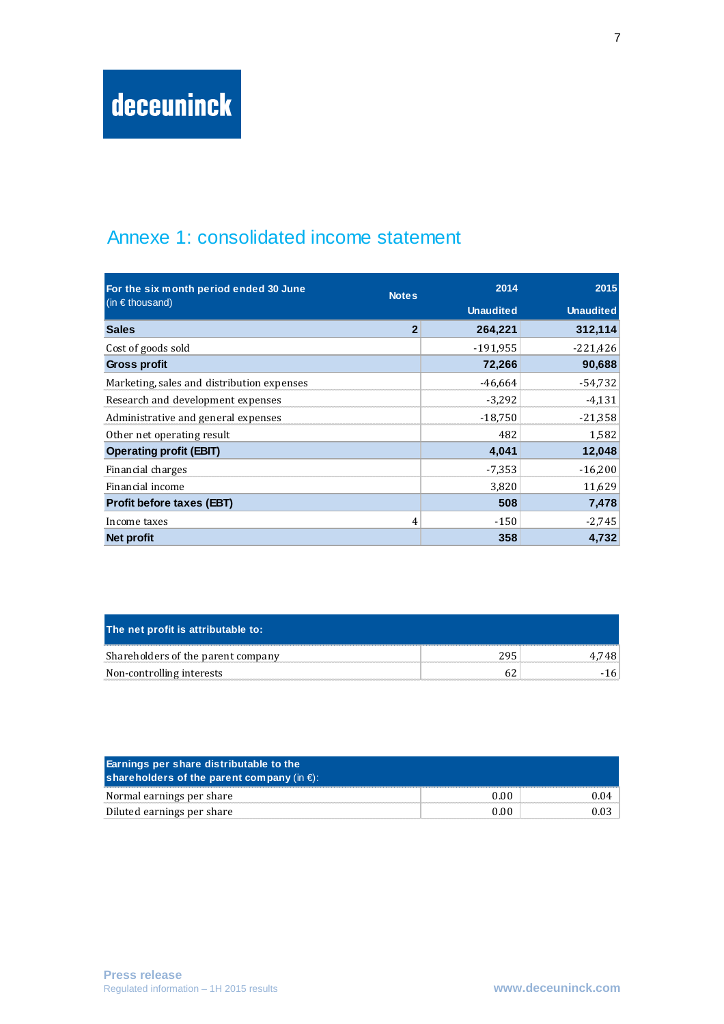## Annexe 1: consolidated income statement

| For the six month period ended 30 June<br><b>Notes</b> |                | 2014             | 2015             |  |
|--------------------------------------------------------|----------------|------------------|------------------|--|
| (in $\epsilon$ thousand)                               |                | <b>Unaudited</b> | <b>Unaudited</b> |  |
| <b>Sales</b>                                           | $\overline{2}$ | 264,221          | 312,114          |  |
| Cost of goods sold                                     |                | $-191,955$       | $-221,426$       |  |
| <b>Gross profit</b>                                    |                | 72,266           | 90,688           |  |
| Marketing, sales and distribution expenses             |                | $-46.664$        | $-54,732$        |  |
| Research and development expenses                      |                | $-3,292$         | $-4,131$         |  |
| Administrative and general expenses                    |                | $-18,750$        | $-21,358$        |  |
| Other net operating result                             |                | 482              | 1,582            |  |
| <b>Operating profit (EBIT)</b>                         |                | 4,041            | 12,048           |  |
| Financial charges                                      |                | $-7,353$         | $-16,200$        |  |
| Financial income                                       |                | 3,820            | 11,629           |  |
| <b>Profit before taxes (EBT)</b>                       |                | 508              | 7,478            |  |
| Income taxes                                           | 4              | $-150$           | $-2,745$         |  |
| Net profit                                             |                | 358              | 4,732            |  |

| The net profit is attributable to: |     |      |
|------------------------------------|-----|------|
| Shareholders of the parent company | 295 | 7481 |
| Non-controlling interests          |     |      |

| <b>Earnings per share distributable to the</b><br>shareholders of the parent company (in $\epsilon$ ): |      |  |
|--------------------------------------------------------------------------------------------------------|------|--|
| Normal earnings per share                                                                              | 0.00 |  |
| Diluted earnings per share                                                                             | 0.00 |  |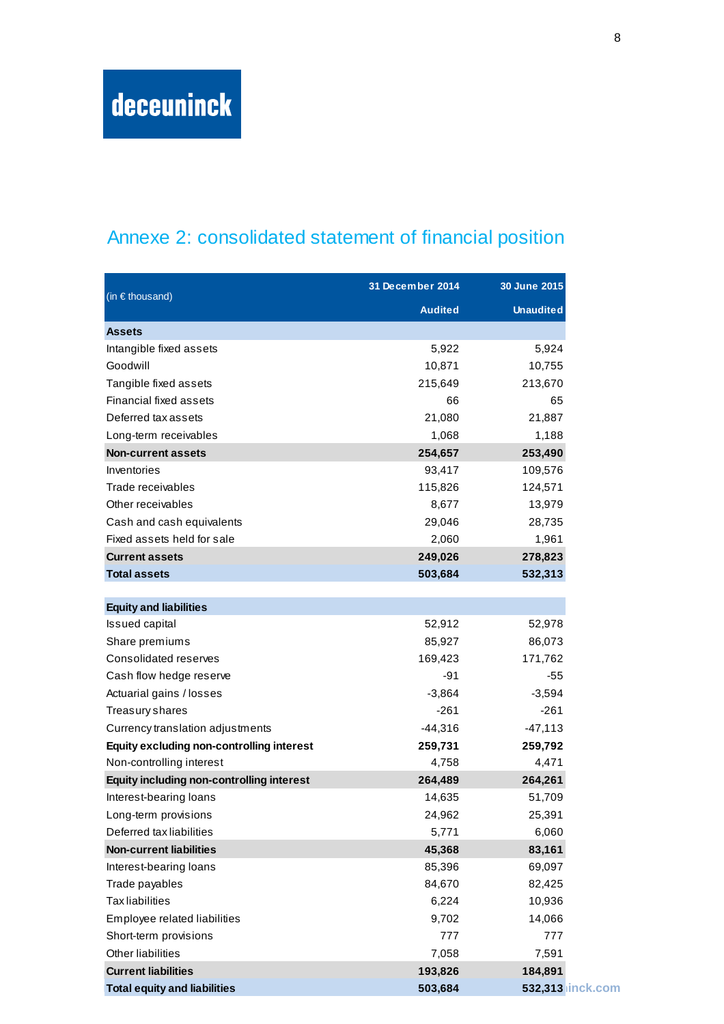## Annexe 2: consolidated statement of financial position

| (in $\epsilon$ thousand)                         | 31 December 2014 | 30 June 2015     |  |
|--------------------------------------------------|------------------|------------------|--|
|                                                  | <b>Audited</b>   | <b>Unaudited</b> |  |
| <b>Assets</b>                                    |                  |                  |  |
| Intangible fixed assets                          | 5,922            | 5,924            |  |
| Goodwill                                         | 10,871           | 10,755           |  |
| Tangible fixed assets                            | 215,649          | 213,670          |  |
| Financial fixed assets                           | 66               | 65               |  |
| Deferred tax assets                              | 21,080           | 21,887           |  |
| Long-term receivables                            | 1,068            | 1,188            |  |
| <b>Non-current assets</b>                        | 254,657          | 253,490          |  |
| Inventories                                      | 93,417           | 109,576          |  |
| Trade receivables                                | 115,826          | 124,571          |  |
| Other receivables                                | 8,677            | 13,979           |  |
| Cash and cash equivalents                        | 29,046           | 28,735           |  |
| Fixed assets held for sale                       | 2,060            | 1,961            |  |
| <b>Current assets</b>                            | 249,026          | 278,823          |  |
| <b>Total assets</b>                              | 503,684          | 532,313          |  |
|                                                  |                  |                  |  |
| <b>Equity and liabilities</b>                    |                  |                  |  |
| <b>Issued capital</b>                            | 52,912           | 52,978           |  |
| Share premiums                                   | 85,927           | 86,073           |  |
| Consolidated reserves                            | 169,423          | 171,762          |  |
| Cash flow hedge reserve                          | -91              | $-55$            |  |
| Actuarial gains / losses                         | $-3,864$         | $-3,594$         |  |
| Treasury shares                                  | $-261$           | $-261$           |  |
| Currency translation adjustments                 | -44,316          | -47,113          |  |
| <b>Equity excluding non-controlling interest</b> | 259,731          | 259,792          |  |
| Non-controlling interest                         | 4,758            | 4,471            |  |
| <b>Equity including non-controlling interest</b> | 264,489          | 264,261          |  |
| Interest-bearing loans                           | 14,635           | 51,709           |  |
| Long-term provisions                             | 24,962           | 25,391           |  |
| Deferred tax liabilities                         | 5,771            | 6,060            |  |
| <b>Non-current liabilities</b>                   | 45,368           | 83,161           |  |
| Interest-bearing loans                           | 85,396           | 69,097           |  |
| Trade payables                                   | 84,670           | 82,425           |  |
| <b>Tax liabilities</b>                           | 6,224            | 10,936           |  |
| Employee related liabilities                     | 9,702            | 14,066           |  |
| Short-term provisions                            | 777              | 777              |  |
| Other liabilities                                | 7,058            | 7,591            |  |
| <b>Current liabilities</b>                       | 193,826          | 184,891          |  |
| <b>Total equity and liabilities</b>              | 503,684          | 532,313 inck.com |  |